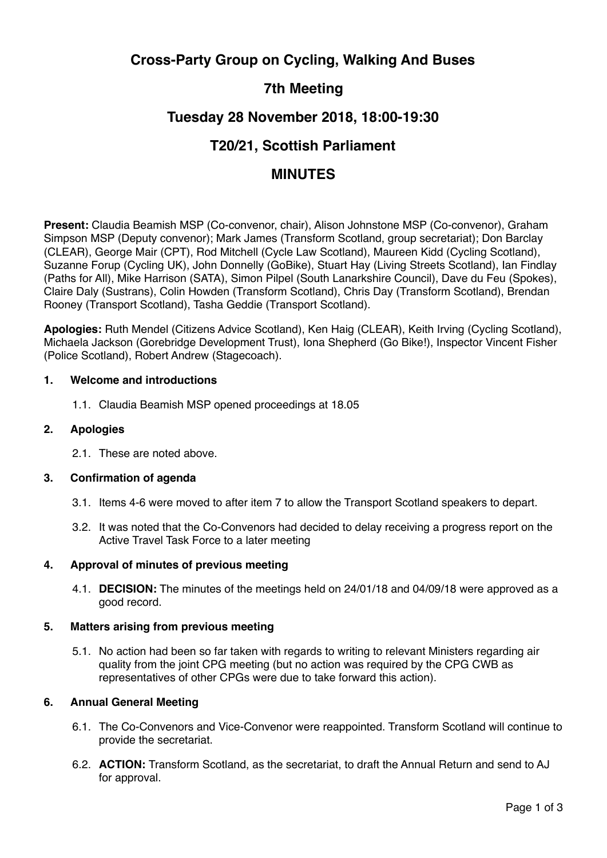## **Cross-Party Group on Cycling, Walking And Buses**

# **7th Meeting**

## **Tuesday 28 November 2018, 18:00-19:30**

## **T20/21, Scottish Parliament**

## **MINUTES**

**Present:** Claudia Beamish MSP (Co-convenor, chair), Alison Johnstone MSP (Co-convenor), Graham Simpson MSP (Deputy convenor); Mark James (Transform Scotland, group secretariat); Don Barclay (CLEAR), George Mair (CPT), Rod Mitchell (Cycle Law Scotland), Maureen Kidd (Cycling Scotland), Suzanne Forup (Cycling UK), John Donnelly (GoBike), Stuart Hay (Living Streets Scotland), Ian Findlay (Paths for All), Mike Harrison (SATA), Simon Pilpel (South Lanarkshire Council), Dave du Feu (Spokes), Claire Daly (Sustrans), Colin Howden (Transform Scotland), Chris Day (Transform Scotland), Brendan Rooney (Transport Scotland), Tasha Geddie (Transport Scotland).

**Apologies:** Ruth Mendel (Citizens Advice Scotland), Ken Haig (CLEAR), Keith Irving (Cycling Scotland), Michaela Jackson (Gorebridge Development Trust), Iona Shepherd (Go Bike!), Inspector Vincent Fisher (Police Scotland), Robert Andrew (Stagecoach).

### **1. Welcome and introductions**

1.1. Claudia Beamish MSP opened proceedings at 18.05

### **2. Apologies**

2.1. These are noted above.

#### **3. Confirmation of agenda**

- 3.1. Items 4-6 were moved to after item 7 to allow the Transport Scotland speakers to depart.
- 3.2. It was noted that the Co-Convenors had decided to delay receiving a progress report on the Active Travel Task Force to a later meeting

#### **4. Approval of minutes of previous meeting**

4.1. **DECISION:** The minutes of the meetings held on 24/01/18 and 04/09/18 were approved as a good record.

#### **5. Matters arising from previous meeting**

5.1. No action had been so far taken with regards to writing to relevant Ministers regarding air quality from the joint CPG meeting (but no action was required by the CPG CWB as representatives of other CPGs were due to take forward this action).

#### **6. Annual General Meeting**

- 6.1. The Co-Convenors and Vice-Convenor were reappointed. Transform Scotland will continue to provide the secretariat.
- 6.2. **ACTION:** Transform Scotland, as the secretariat, to draft the Annual Return and send to AJ for approval.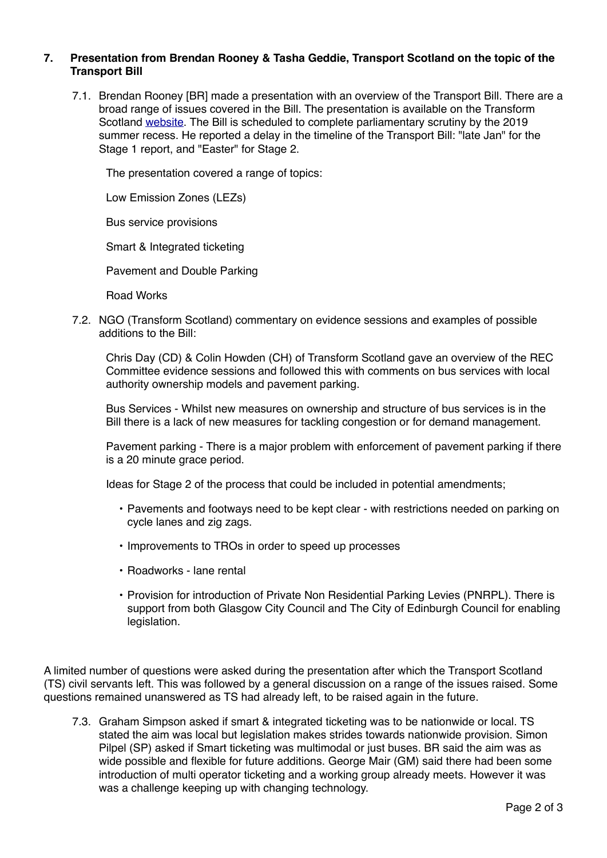### **7. Presentation from Brendan Rooney & Tasha Geddie, Transport Scotland on the topic of the Transport Bill**

7.1. Brendan Rooney [BR] made a presentation with an overview of the Transport Bill. There are a broad range of issues covered in the Bill. The presentation is available on the Transform Scotland [website](http://transformscotland.org.uk/scottish-parliament-cross-party-group-on-cycling-walking-and-buses/). The Bill is scheduled to complete parliamentary scrutiny by the 2019 summer recess. He reported a delay in the timeline of the Transport Bill: "late Jan" for the Stage 1 report, and "Easter" for Stage 2.

The presentation covered a range of topics:

Low Emission Zones (LEZs)

Bus service provisions

Smart & Integrated ticketing

Pavement and Double Parking

Road Works

7.2. NGO (Transform Scotland) commentary on evidence sessions and examples of possible additions to the Bill:

Chris Day (CD) & Colin Howden (CH) of Transform Scotland gave an overview of the REC Committee evidence sessions and followed this with comments on bus services with local authority ownership models and pavement parking.

Bus Services - Whilst new measures on ownership and structure of bus services is in the Bill there is a lack of new measures for tackling congestion or for demand management.

Pavement parking - There is a major problem with enforcement of pavement parking if there is a 20 minute grace period.

Ideas for Stage 2 of the process that could be included in potential amendments;

- Pavements and footways need to be kept clear with restrictions needed on parking on cycle lanes and zig zags.
- Improvements to TROs in order to speed up processes
- Roadworks lane rental
- Provision for introduction of Private Non Residential Parking Levies (PNRPL). There is support from both Glasgow City Council and The City of Edinburgh Council for enabling legislation.

A limited number of questions were asked during the presentation after which the Transport Scotland (TS) civil servants left. This was followed by a general discussion on a range of the issues raised. Some questions remained unanswered as TS had already left, to be raised again in the future.

7.3. Graham Simpson asked if smart & integrated ticketing was to be nationwide or local. TS stated the aim was local but legislation makes strides towards nationwide provision. Simon Pilpel (SP) asked if Smart ticketing was multimodal or just buses. BR said the aim was as wide possible and flexible for future additions. George Mair (GM) said there had been some introduction of multi operator ticketing and a working group already meets. However it was was a challenge keeping up with changing technology.